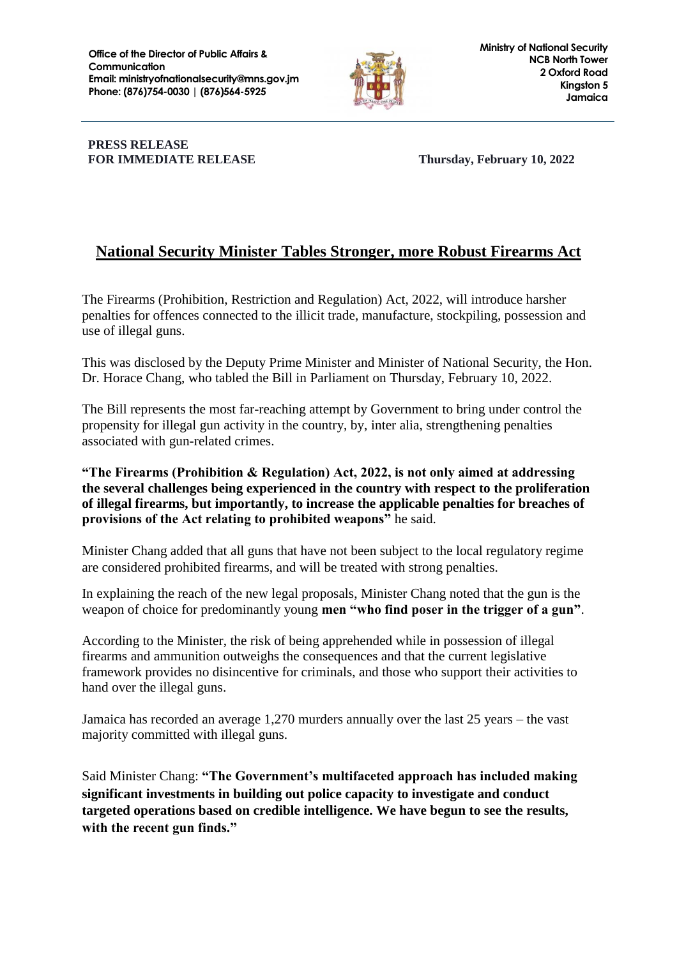

#### **PRESS RELEASE FOR IMMEDIATE RELEASE Thursday, February 10, 2022**

# **National Security Minister Tables Stronger, more Robust Firearms Act**

The Firearms (Prohibition, Restriction and Regulation) Act, 2022, will introduce harsher penalties for offences connected to the illicit trade, manufacture, stockpiling, possession and use of illegal guns.

This was disclosed by the Deputy Prime Minister and Minister of National Security, the Hon. Dr. Horace Chang, who tabled the Bill in Parliament on Thursday, February 10, 2022.

The Bill represents the most far-reaching attempt by Government to bring under control the propensity for illegal gun activity in the country, by, inter alia, strengthening penalties associated with gun-related crimes.

### **"The Firearms (Prohibition & Regulation) Act, 2022, is not only aimed at addressing the several challenges being experienced in the country with respect to the proliferation of illegal firearms, but importantly, to increase the applicable penalties for breaches of provisions of the Act relating to prohibited weapons"** he said.

Minister Chang added that all guns that have not been subject to the local regulatory regime are considered prohibited firearms, and will be treated with strong penalties.

In explaining the reach of the new legal proposals, Minister Chang noted that the gun is the weapon of choice for predominantly young **men "who find poser in the trigger of a gun"**.

According to the Minister, the risk of being apprehended while in possession of illegal firearms and ammunition outweighs the consequences and that the current legislative framework provides no disincentive for criminals, and those who support their activities to hand over the illegal guns.

Jamaica has recorded an average 1,270 murders annually over the last 25 years – the vast majority committed with illegal guns.

Said Minister Chang: **"The Government's multifaceted approach has included making significant investments in building out police capacity to investigate and conduct targeted operations based on credible intelligence. We have begun to see the results, with the recent gun finds."**